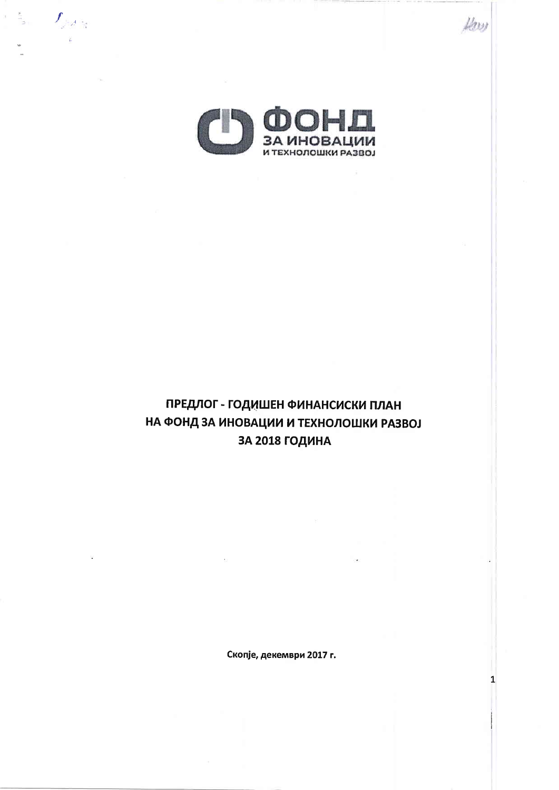

Low

 $\mathbf{1}$ 

 $\mathcal{I}_{\mathcal{M}^{\mathcal{A}}}$ 

 $\chi_{\rm i}$ 

# ПРЕДЛОГ - ГОДИШЕН ФИНАНСИСКИ ПЛАН НА ФОНД ЗА ИНОВАЦИИ И ТЕХНОЛОШКИ РАЗВОЈ ЗА 2018 ГОДИНА

Скопје, декември 2017 г.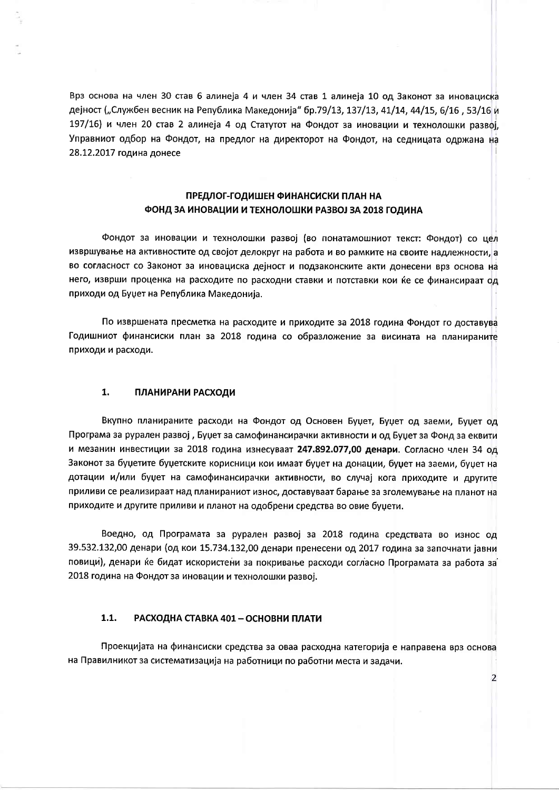Врз основа на член 30 став 6 алинеја 4 и член 34 став 1 алинеја 10 од Законот за иновациска дејност ("Службен весник на Република Македонија" бр.79/13, 137/13, 41/14, 44/15, 6/16, 53/16 и 197/16) и член 20 став 2 алинеја 4 од Статутот на Фондот за иновации и технолошки развој. Управниот одбор на Фондот, на предлог на директорот на Фондот, на седницата одржана на 28.12.2017 година донесе

### ПРЕДЛОГ-ГОДИШЕН ФИНАНСИСКИ ПЛАН НА ФОНД ЗА ИНОВАЦИИ И ТЕХНОЛОШКИ РАЗВОЈ ЗА 2018 ГОДИНА

Фондот за иновации и технолошки развој (во понатамошниот текст: Фондот) со цел извршување на активностите од својот делокруг на работа и во рамките на своите надлежности, а во согласност со Законот за иновациска дејност и подзаконските акти донесени врз основа на него, изврши проценка на расходите по расходни ставки и потставки кои ќе се финансираат од приходи од Буџет на Република Македонија.

По извршената пресметка на расходите и приходите за 2018 година Фондот го доставува Годишниот финансиски план за 2018 година со образложение за висината на планираните приходи и расходи.

#### 1. ПЛАНИРАНИ РАСХОДИ

Вкупно планираните расходи на Фондот од Основен Буџет, Буџет од заеми, Буџет од Програма за рурален развој, Буџет за самофинансирачки активности и од Буџет за Фонд за еквити и мезанин инвестиции за 2018 година изнесуваат 247.892.077,00 денари. Согласно член 34 од Законот за буџетите буџетските корисници кои имаат буџет на донации, буџет на заеми, буџет на дотации и/или буџет на самофинансирачки активности, во случај кога приходите и другите приливи се реализираат над планираниот износ, доставуваат барање за зголемување на планот на приходите и другите приливи и планот на одобрени средства во овие буџети.

Воедно, од Програмата за рурален развој за 2018 година средствата во износ од 39.532.132,00 денари (од кои 15.734.132,00 денари пренесени од 2017 година за започнати јавни повици), денари ќе бидат искористени за покривање расходи согласно Програмата за работа за 2018 година на Фондот за иновации и технолошки развој.

#### $1.1.$ РАСХОДНА СТАВКА 401 - ОСНОВНИ ПЛАТИ

Проекцијата на финансиски средства за оваа расходна категорија е направена врз основа на Правилникот за систематизација на работници по работни места и задачи.

 $\overline{2}$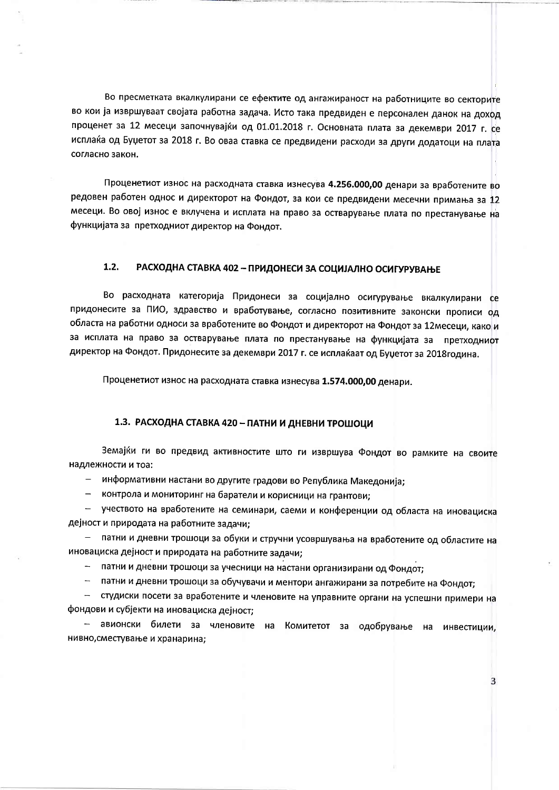Во пресметката вкалкулирани се ефектите од ангажираност на работниците во секторите во кои ја извршуваат својата работна задача. Исто така предвиден е персонален данок на доход проценет за 12 месеци започнувајќи од 01.01.2018 г. Основната плата за декември 2017 г. се исплаќа од Буџетот за 2018 г. Во оваа ставка се предвидени расходи за други додатоци на плата согласно закон.

Проценетиот износ на расходната ставка изнесува 4.256.000,00 денари за вработените во редовен работен однос и директорот на Фондот, за кои се предвидени месечни примања за 12 месеци. Во овој износ е вклучена и исплата на право за остварување плата по престанување на функцијата за претходниот директор на Фондот.

#### $1.2.$ РАСХОДНА СТАВКА 402 - ПРИДОНЕСИ ЗА СОЦИЈАЛНО ОСИГУРУВАЊЕ

Во расходната категорија Придонеси за социјално осигурување вкалкулирани се придонесите за ПИО, здравство и вработување, согласно позитивните законски прописи од областа на работни односи за вработените во Фондот и директорот на Фондот за 12месеци, како и за исплата на право за остварување плата по престанување на функцијата за претходниот директор на Фондот. Придонесите за декември 2017 г. се исплаќаат од Буџетот за 2018 година.

Проценетиот износ на расходната ставка изнесува 1.574.000,00 денари.

# 1.3. РАСХОДНА СТАВКА 420 - ПАТНИ И ДНЕВНИ ТРОШОЦИ

Земајќи ги во предвид активностите што ги извршува Фондот во рамките на своите надлежности и тоа:

- информативни настани во другите градови во Република Македонија;

- контрола и мониторинг на баратели и корисници на грантови;

- учеството на вработените на семинари, саеми и конференции од областа на иновациска дејност и природата на работните задачи;

- патни и дневни трошоци за обуки и стручни усовршувања на вработените од областите на иновациска дејност и природата на работните задачи;

- патни и дневни трошоци за учесници на настани организирани од Фондот;

- патни и дневни трошоци за обучувачи и ментори ангажирани за потребите на Фондот;

- студиски посети за вработените и членовите на управните органи на успешни примери на фондови и субјекти на иновациска дејност;

- авионски билети за членовите на Комитетот за одобрување на инвестиции, нивно, сместување и хранарина;

 $\overline{3}$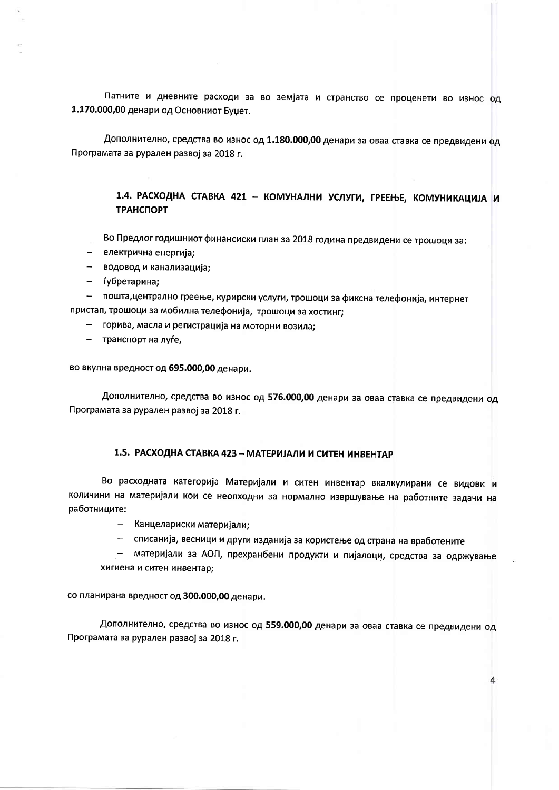Патните и дневните расходи за во земјата и странство се проценети во износ од 1.170.000,00 денари од Основниот Буцет.

Дополнително, средства во износ од 1.180.000,00 денари за оваа ставка се предвидени од Програмата за рурален развој за 2018 г.

> 1.4. РАСХОДНА СТАВКА 421 - КОМУНАЛНИ УСЛУГИ, ГРЕЕЊЕ, КОМУНИКАЦИЈА И **ТРАНСПОРТ**

Во Предлог годишниот финансиски план за 2018 година предвидени се трошоци за:

- електрична енергија:
- $\sim$ водовод и канализација;
- ѓубретарина;

- пошта, централно греење, курирски услуги, трошоци за фиксна телефонија, интернет пристап, трошоци за мобилна телефонија, трошоци за хостинг;

- горива, масла и регистрација на моторни возила;
- транспорт на луѓе,

во вкупна вредност од 695.000,00 денари.

Дополнително, средства во износ од 576.000,00 денари за оваа ставка се предвидени од Програмата за рурален развој за 2018 г.

### 1.5. РАСХОДНА СТАВКА 423 - МАТЕРИЈАЛИ И СИТЕН ИНВЕНТАР

Во расходната категорија Материјали и ситен инвентар вкалкулирани се видови и количини на материјали кои се неопходни за нормално извршување на работните задачи на работниците:

- Канцелариски материјали;

- списанија, весници и други изданија за користење од страна на вработените

- материјали за АОП, прехранбени продукти и пијалоци, средства за одржување хигиена и ситен инвентар;

4

со планирана вредност од 300.000,00 денари.

Дополнително, средства во износ од 559.000,00 денари за оваа ставка се предвидени од Програмата за рурален развој за 2018 г.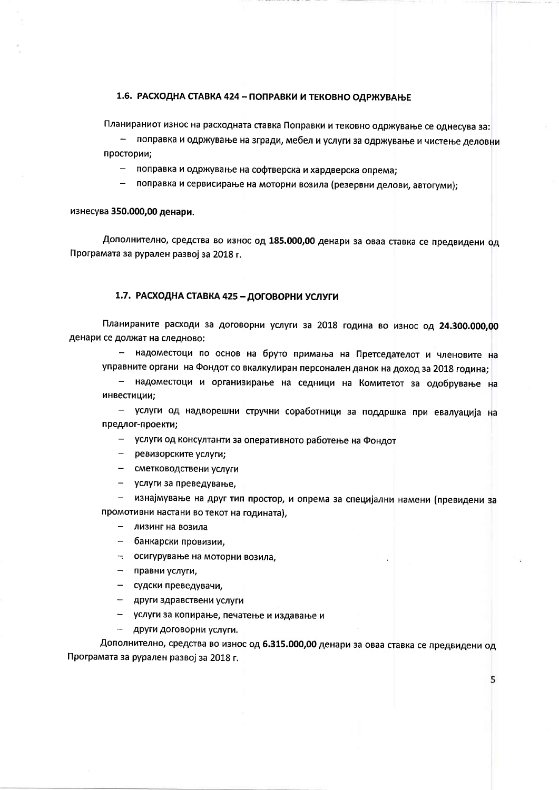## 1.6. РАСХОДНА СТАВКА 424 - ПОПРАВКИ И ТЕКОВНО ОДРЖУВАЊЕ

Планираниот износ на расходната ставка Поправки и тековно одржување се однесува за:

поправка и одржување на згради, мебел и услуги за одржување и чистење деловни простории;

- поправка и одржување на софтверска и хардверска опрема:
- поправка и сервисирање на моторни возила (резервни делови, автогуми);

изнесува 350.000,00 денари.

Дополнително, средства во износ од 185.000,00 денари за оваа ставка се предвидени од Програмата за рурален развој за 2018 г.

### 1.7. РАСХОДНА СТАВКА 425 - ДОГОВОРНИ УСЛУГИ

Планираните расходи за договорни услуги за 2018 година во износ од 24.300.000,00 денари се должат на следново:

- надоместоци по основ на бруто примања на Претседателот и членовите на управните органи на Фондот со вкалкулиран персонален данок на доход за 2018 година;

- надоместоци и организирање на седници на Комитетот за одобрување на инвестиции;

- услуги од надворешни стручни соработници за поддршка при евалуација на предлог-проекти;

- услуги од консултанти за оперативното работење на Фондот

- ревизорските услуги;
- сметководствени услуги
- услуги за преведување,

- изнајмување на друг тип простор, и опрема за специјални намени (превидени за промотивни настани во текот на годината),

- лизинг на возила
- банкарски провизии,
- осигурување на моторни возила,
- правни услуги,
- судски преведувачи,
- други здравствени услуги
- услуги за копирање, печатење и издавање и
- други договорни услуги.

Дополнително, средства во износ од 6.315.000,00 денари за оваа ставка се предвидени од Програмата за рурален развој за 2018 г.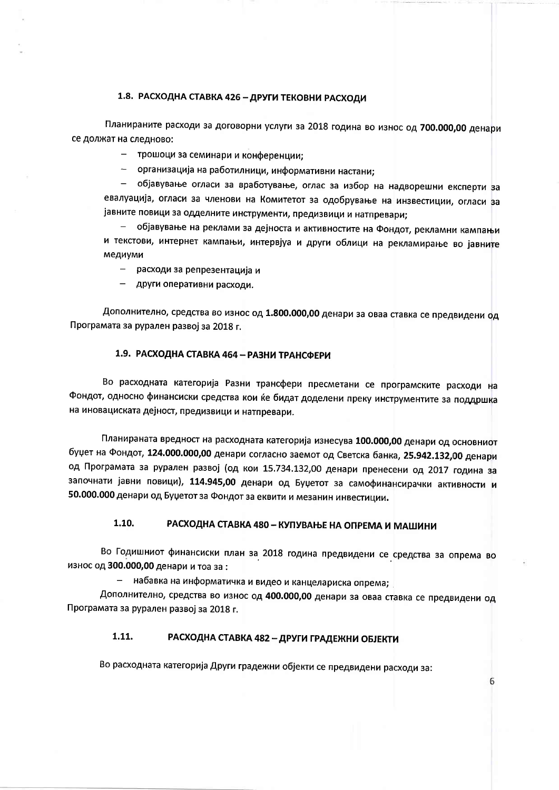### 1.8. РАСХОДНА СТАВКА 426 - ДРУГИ ТЕКОВНИ РАСХОДИ

Планираните расходи за договорни услуги за 2018 година во износ од 700.000,00 денари се должат на следново:

- трошоци за семинари и конференции;

- организација на работилници, информативни настани;

- објавување огласи за вработување, оглас за избор на надворешни експерти за евалуација, огласи за членови на Комитетот за одобрување на инзвестиции, огласи за јавните повици за одделните инструменти, предизвици и натпревари;

објавување на реклами за дејноста и активностите на Фондот, рекламни кампањи и текстови, интернет кампањи, интервјуа и други облици на рекламирање во јавните медиуми

расходи за репрезентација и  $\,$ 

- други оперативни расходи.

Дополнително, средства во износ од 1.800.000,00 денари за оваа ставка се предвидени од Програмата за рурален развој за 2018 г.

### 1.9. РАСХОДНА СТАВКА 464 - РАЗНИ ТРАНСФЕРИ

Во расходната категорија Разни трансфери пресметани се програмските расходи на Фондот, односно финансиски средства кои ќе бидат доделени преку инструментите за поддршка на иновациската дејност, предизвици и натпревари.

Планираната вредност на расходната категорија изнесува 100.000,00 денари од основниот буџет на Фондот, 124.000.000,00 денари согласно заемот од Светска банка, 25.942.132,00 денари од Програмата за рурален развој (од кои 15.734.132,00 денари пренесени од 2017 година за започнати јавни повици), 114.945,00 денари од Буџетот за самофинансирачки активности и 50.000.000 денари од Буџетот за Фондот за еквити и мезанин инвестиции.

#### $1.10.$ РАСХОДНА СТАВКА 480 - КУПУВАЊЕ НА ОПРЕМА И МАШИНИ

Во Годишниот финансиски план за 2018 година предвидени се средства за опрема во износ од 300.000,00 денари и тоа за:

- набавка на информатичка и видео и канцелариска опрема;

Дополнително, средства во износ од 400.000,00 денари за оваа ставка се предвидени од Програмата за рурален развој за 2018 г.

#### 1.11. РАСХОДНА СТАВКА 482 - ДРУГИ ГРАДЕЖНИ ОБЈЕКТИ

Во расходната категорија Други градежни објекти се предвидени расходи за: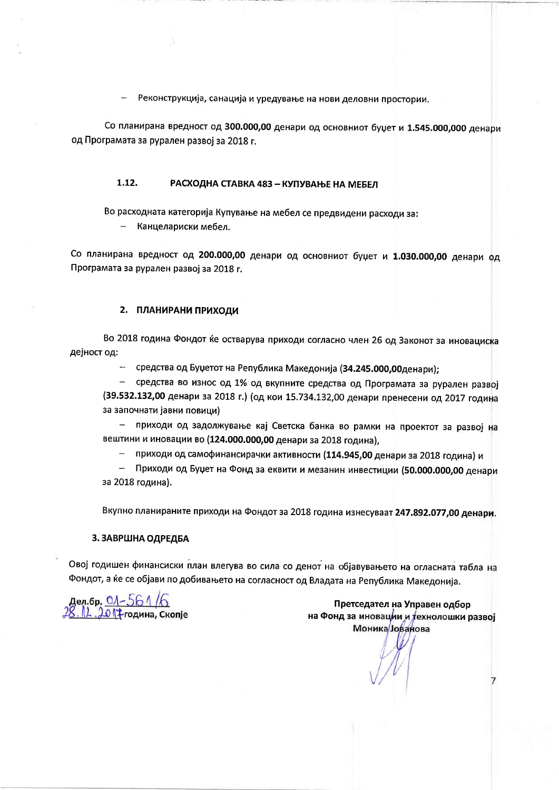Реконструкција, санација и уредување на нови деловни простории.

Со планирана вредност од 300.000,00 денари од основниот буџет и 1.545.000,000 денари од Програмата за рурален развој за 2018 г.

#### 1.12. РАСХОДНА СТАВКА 483 - КУПУВАЊЕ НА МЕБЕЛ

Во расходната категорија Купување на мебел се предвидени расходи за:

Канцелариски мебел.

Со планирана вредност од 200.000,00 денари од основниот буџет и 1.030.000,00 денари од Програмата за рурален развој за 2018 г.

#### 2. ПЛАНИРАНИ ПРИХОДИ

Во 2018 година Фондот ќе остварува приходи согласно член 26 од Законот за иновациска дејност од:

- средства од Буџетот на Република Македонија (34.245.000,00денари);

- средства во износ од 1% од вкупните средства од Програмата за рурален развој (39.532.132,00 денари за 2018 г.) (од кои 15.734.132,00 денари пренесени од 2017 година за започнати јавни повици)

 $\equiv$  . приходи од задолжување кај Светска банка во рамки на проектот за развој на вештини и иновации во (124.000.000,00 денари за 2018 година),

- приходи од самофинансирачки активности (114.945,00 денари за 2018 година) и

– Приходи од Буџет на Фонд за еквити и мезанин инвестиции (50.000.000,00 денари за 2018 година).

Вкупно планираните приходи на Фондот за 2018 година изнесуваат 247.892.077,00 денари.

### 3. ЗАВРШНА ОДРЕДБА

Овој годишен финансиски план влегува во сила со денот на објавувањето на огласната табла на Фондот, а ќе се објави по добивањето на согласност од Владата на Република Македонија.

дел.бр. <u>0*1 – 56 1 /6.*</u><br>8 . 12. 2017 година, Скопје

Претседател на Управен одбор на Фонд за иновации и технолошки развој **Моника** Јованова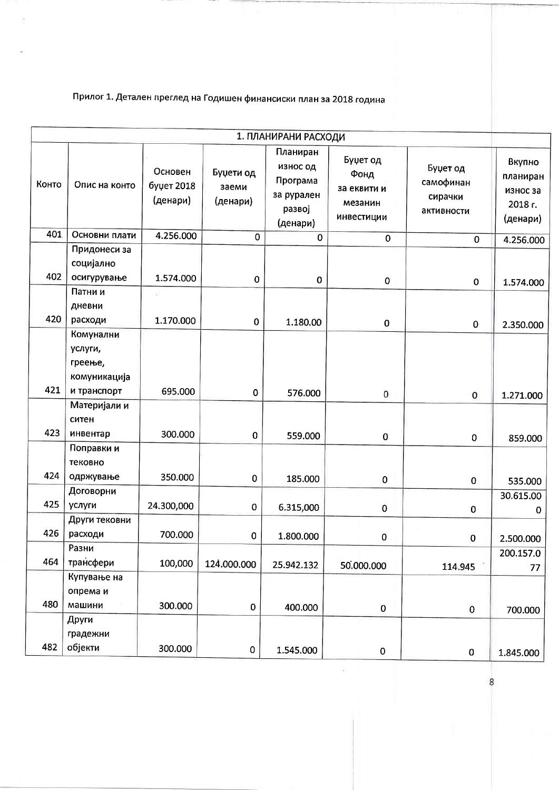Прилог 1. Детален преглед на Годишен финансиски план за 2018 година

| 1. ПЛАНИРАНИ РАСХОДИ |                                                   |                                   |                                |                                                                      |                                                                  |                                                |                                                       |
|----------------------|---------------------------------------------------|-----------------------------------|--------------------------------|----------------------------------------------------------------------|------------------------------------------------------------------|------------------------------------------------|-------------------------------------------------------|
| Конто                | Опис на конто                                     | Основен<br>буџет 2018<br>(денари) | Буџети од<br>заеми<br>(денари) | Планиран<br>износ од<br>Програма<br>за рурален<br>развој<br>(денари) | Буџет од<br>Фонд<br>за еквити и<br>мезанин<br><b>ИНВ</b> естиции | Буџет од<br>самофинан<br>сирачки<br>активности | Вкупно<br>планиран<br>износ за<br>2018 г.<br>(денари) |
| 401                  | Основни плати                                     | 4.256.000                         | $\mathbf 0$                    | $\mathbf 0$                                                          | $\overline{0}$                                                   | $\mathbf 0$                                    | 4.256.000                                             |
| 402                  | Придонеси за<br>социјално<br>осигурување          | 1.574.000                         | $\pmb{0}$                      | $\pmb{0}$                                                            | $\bf{0}$                                                         | $\pmb{0}$                                      | 1.574.000                                             |
|                      | Патни и<br>дневни                                 |                                   |                                |                                                                      |                                                                  |                                                |                                                       |
| 420                  | расходи<br>Комунални                              | 1.170.000                         | $\pmb{0}$                      | 1.180.00                                                             | $\mathbf 0$                                                      | $\pmb{0}$                                      | 2.350.000                                             |
| 421                  | услуги,<br>греење,<br>комуникација<br>и транспорт | 695.000                           | 0                              | 576.000                                                              | 0                                                                |                                                |                                                       |
|                      | Материјали и<br>ситен                             |                                   |                                |                                                                      |                                                                  | 0                                              | 1.271.000                                             |
| 423                  | инвентар                                          | 300.000                           | 0                              | 559.000                                                              | $\mathbf 0$                                                      | $\mathbf 0$                                    | 859.000                                               |
| 424                  | Поправки и<br>тековно<br>одржување                | 350.000                           | 0                              | 185.000                                                              | 0                                                                | $\bf{0}$                                       | 535.000                                               |
|                      | Договорни                                         |                                   |                                |                                                                      |                                                                  |                                                | 30.615.00                                             |
| 425                  | услуги                                            | 24.300,000                        | $\mathbf 0$                    | 6.315,000                                                            | $\mathbf 0$                                                      | $\pmb{0}$                                      | 0                                                     |
| 426                  | Други тековни<br>расходи                          | 700.000                           | $\pmb{0}$                      | 1.800.000                                                            | 0                                                                | $\mathbf 0$                                    | 2.500.000                                             |
| 464                  | Разни<br>трансфери                                | 100,000                           | 124.000.000                    | 25.942.132                                                           | 50.000.000                                                       | 114.945                                        | 200.157.0<br>77                                       |
| 480                  | Купување на<br>опрема и<br>машини                 | 300.000                           | $\pmb{0}$                      | 400.000                                                              | $\mathbf 0$                                                      | $\pmb{0}$                                      | 700.000                                               |
| 482                  | Други<br>градежни<br>објекти                      | 300.000                           | 0                              | 1.545.000                                                            | $\mathbf 0$                                                      | $\pmb{0}$                                      | 1.845.000                                             |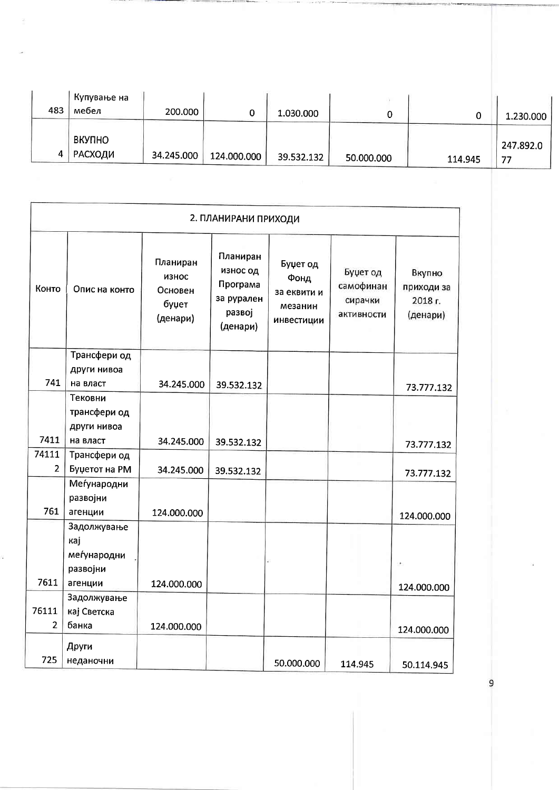| 483 | . Купување на<br>мебел          | 200.000    |             | 1.030.000  |            |         | 1.230.000       |
|-----|---------------------------------|------------|-------------|------------|------------|---------|-----------------|
| 4   | <b>ВКУПНО</b><br><b>РАСХОДИ</b> | 34.245.000 | 124.000.000 | 39.532.132 | 50.000.000 | 114.945 | 247.892.0<br>77 |

|                | 2. ПЛАНИРАНИ ПРИХОДИ          |                                                   |                                                                      |                                                          |                                                |                                             |  |
|----------------|-------------------------------|---------------------------------------------------|----------------------------------------------------------------------|----------------------------------------------------------|------------------------------------------------|---------------------------------------------|--|
| Конто          | Опис на конто                 | Планиран<br>износ<br>Основен<br>буџет<br>(денари) | Планиран<br>износ од<br>Програма<br>за рурален<br>развој<br>(денари) | Буџет од<br>Фонд<br>за еквити и<br>мезанин<br>инвестиции | Буџет од<br>самофинан<br>сирачки<br>активности | Вкупно<br>приходи за<br>2018 г.<br>(денари) |  |
|                | Трансфери од                  |                                                   |                                                                      |                                                          |                                                |                                             |  |
|                | други нивоа                   |                                                   |                                                                      |                                                          |                                                |                                             |  |
| 741            | на власт                      | 34.245.000                                        | 39.532.132                                                           |                                                          |                                                | 73.777.132                                  |  |
|                | Тековни                       |                                                   |                                                                      |                                                          |                                                |                                             |  |
|                | трансфери од                  |                                                   |                                                                      |                                                          |                                                |                                             |  |
| 7411           | други нивоа                   |                                                   |                                                                      |                                                          |                                                |                                             |  |
| 74111          | на власт                      | 34.245.000                                        | 39.532.132                                                           |                                                          |                                                | 73.777.132                                  |  |
| $\overline{2}$ | Трансфери од<br>Буџетот на РМ |                                                   |                                                                      |                                                          |                                                |                                             |  |
|                | Меѓународни                   | 34.245.000                                        | 39.532.132                                                           |                                                          |                                                | 73.777.132                                  |  |
|                | развојни                      |                                                   |                                                                      |                                                          |                                                |                                             |  |
| 761            | агенции                       | 124.000.000                                       |                                                                      |                                                          |                                                |                                             |  |
|                | Задолжување                   |                                                   |                                                                      |                                                          |                                                | 124.000.000                                 |  |
|                | кај                           |                                                   |                                                                      |                                                          |                                                |                                             |  |
|                | меѓународни                   |                                                   |                                                                      |                                                          |                                                |                                             |  |
|                | развојни                      |                                                   |                                                                      |                                                          |                                                |                                             |  |
| 7611           | агенции                       | 124.000.000                                       |                                                                      |                                                          |                                                | 124.000.000                                 |  |
|                | Задолжување                   |                                                   |                                                                      |                                                          |                                                |                                             |  |
| 76111          | кај Светска                   |                                                   |                                                                      |                                                          |                                                |                                             |  |
| $\overline{2}$ | банка                         | 124.000.000                                       |                                                                      |                                                          |                                                | 124.000.000                                 |  |
|                | Други                         |                                                   |                                                                      |                                                          |                                                |                                             |  |
| 725            | неданочни                     |                                                   |                                                                      | 50.000.000                                               | 114.945                                        | 50.114.945                                  |  |